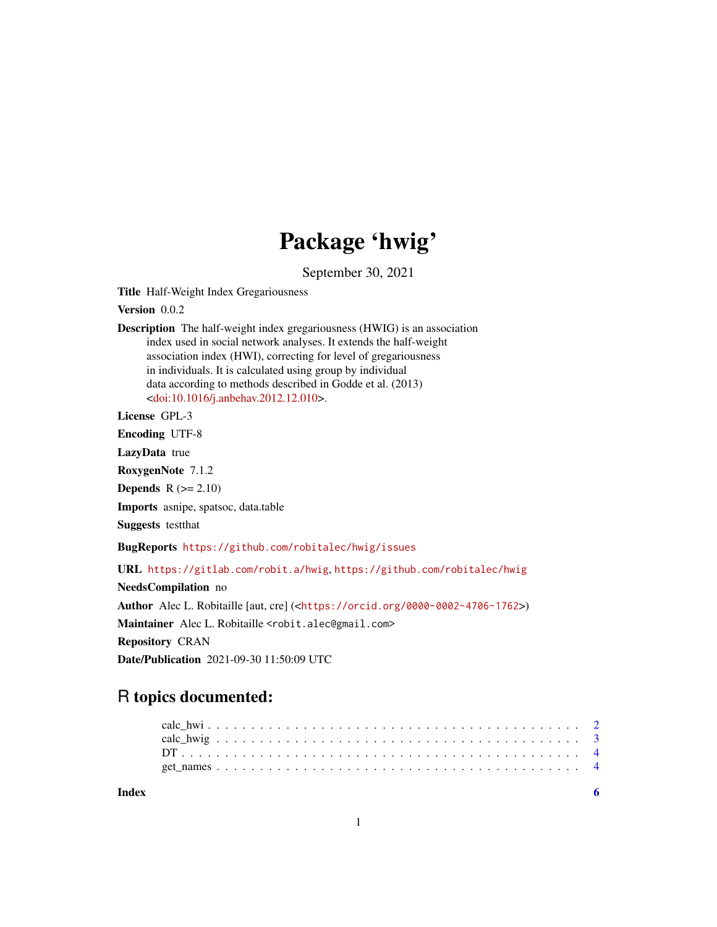## Package 'hwig'

September 30, 2021

<span id="page-0-0"></span>Title Half-Weight Index Gregariousness

Version 0.0.2

Description The half-weight index gregariousness (HWIG) is an association index used in social network analyses. It extends the half-weight association index (HWI), correcting for level of gregariousness in individuals. It is calculated using group by individual data according to methods described in Godde et al. (2013) [<doi:10.1016/j.anbehav.2012.12.010>](https://doi.org/10.1016/j.anbehav.2012.12.010).

License GPL-3

Encoding UTF-8

LazyData true

RoxygenNote 7.1.2

Depends  $R (= 2.10)$ 

Imports asnipe, spatsoc, data.table

Suggests testthat

BugReports <https://github.com/robitalec/hwig/issues>

URL <https://gitlab.com/robit.a/hwig>, <https://github.com/robitalec/hwig>

NeedsCompilation no Author Alec L. Robitaille [aut, cre] (<<https://orcid.org/0000-0002-4706-1762>>) Maintainer Alec L. Robitaille <robit.alec@gmail.com> Repository CRAN Date/Publication 2021-09-30 11:50:09 UTC

### R topics documented:

| Index |  |  |  |  |  |  |  |  |  |  |  |  |  |  |  |  |  |  |  |  |  |
|-------|--|--|--|--|--|--|--|--|--|--|--|--|--|--|--|--|--|--|--|--|--|
|       |  |  |  |  |  |  |  |  |  |  |  |  |  |  |  |  |  |  |  |  |  |
|       |  |  |  |  |  |  |  |  |  |  |  |  |  |  |  |  |  |  |  |  |  |
|       |  |  |  |  |  |  |  |  |  |  |  |  |  |  |  |  |  |  |  |  |  |
|       |  |  |  |  |  |  |  |  |  |  |  |  |  |  |  |  |  |  |  |  |  |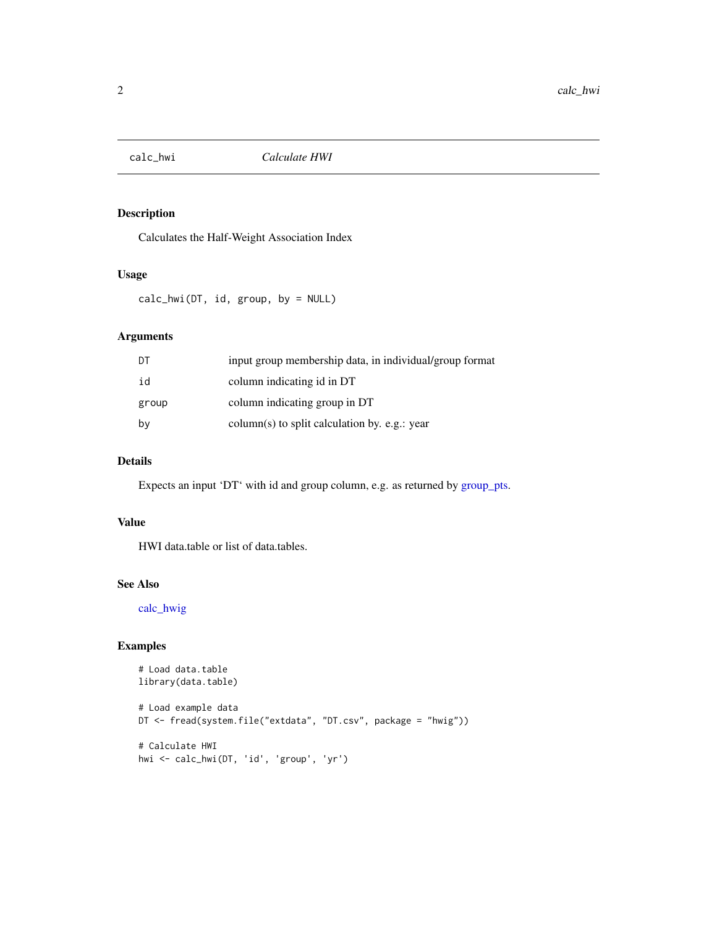<span id="page-1-1"></span><span id="page-1-0"></span>

#### Description

Calculates the Half-Weight Association Index

#### Usage

calc\_hwi(DT, id, group, by = NULL)

#### Arguments

| DT    | input group membership data, in individual/group format |
|-------|---------------------------------------------------------|
| id    | column indicating id in DT                              |
| group | column indicating group in DT                           |
| by    | column(s) to split calculation by. e.g.: year           |

#### Details

Expects an input 'DT' with id and group column, e.g. as returned by [group\\_pts.](#page-0-0)

#### Value

HWI data.table or list of data.tables.

#### See Also

[calc\\_hwig](#page-2-1)

#### Examples

```
# Load data.table
library(data.table)
```

```
# Load example data
DT <- fread(system.file("extdata", "DT.csv", package = "hwig"))
# Calculate HWI
hwi <- calc_hwi(DT, 'id', 'group', 'yr')
```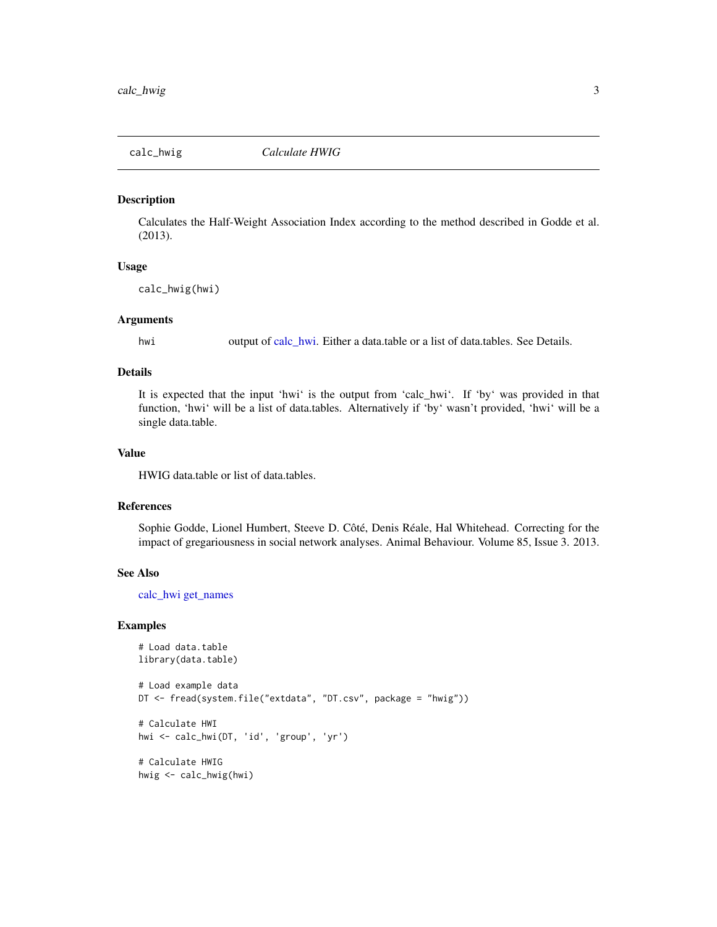<span id="page-2-1"></span><span id="page-2-0"></span>

#### Description

Calculates the Half-Weight Association Index according to the method described in Godde et al. (2013).

#### Usage

calc\_hwig(hwi)

#### Arguments

hwi output of [calc\\_hwi.](#page-1-1) Either a data.table or a list of data.tables. See Details.

#### Details

It is expected that the input 'hwi' is the output from 'calc\_hwi'. If 'by' was provided in that function, 'hwi' will be a list of data.tables. Alternatively if 'by' wasn't provided, 'hwi' will be a single data.table.

#### Value

HWIG data.table or list of data.tables.

#### References

Sophie Godde, Lionel Humbert, Steeve D. Côté, Denis Réale, Hal Whitehead. Correcting for the impact of gregariousness in social network analyses. Animal Behaviour. Volume 85, Issue 3. 2013.

#### See Also

[calc\\_hwi](#page-1-1) [get\\_names](#page-3-1)

#### Examples

```
# Load data.table
library(data.table)
# Load example data
DT <- fread(system.file("extdata", "DT.csv", package = "hwig"))
# Calculate HWI
hwi <- calc_hwi(DT, 'id', 'group', 'yr')
# Calculate HWIG
hwig <- calc_hwig(hwi)
```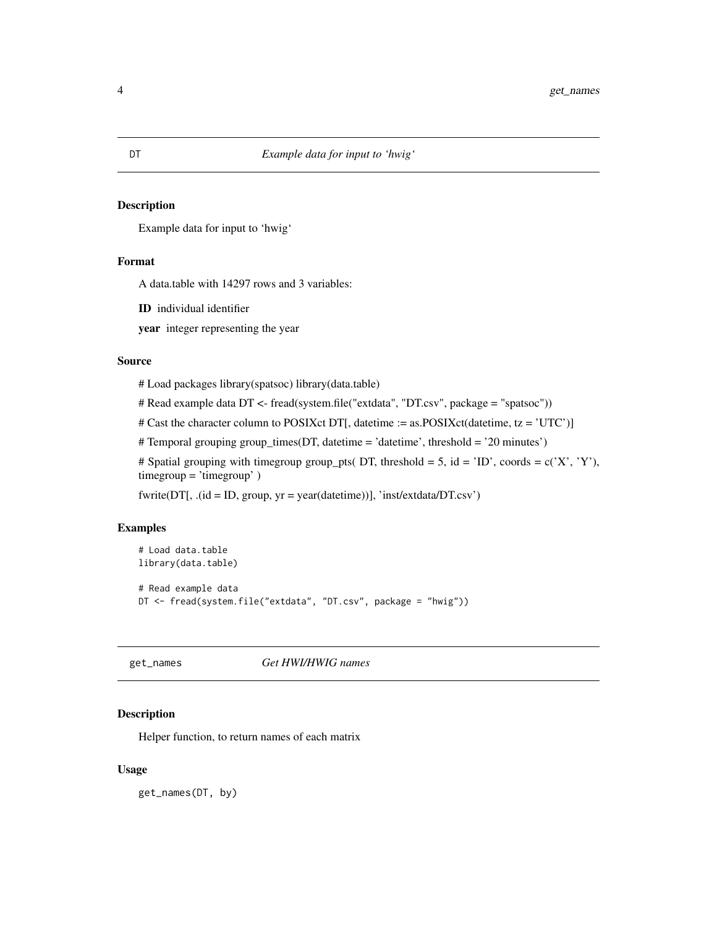#### <span id="page-3-0"></span>Description

Example data for input to 'hwig'

#### Format

A data.table with 14297 rows and 3 variables:

ID individual identifier

year integer representing the year

#### Source

# Load packages library(spatsoc) library(data.table)

# Read example data DT <- fread(system.file("extdata", "DT.csv", package = "spatsoc"))

# Cast the character column to POSIXct DT[, datetime := as.POSIXct(datetime, tz = 'UTC')]

# Temporal grouping group\_times(DT, datetime = 'datetime', threshold = '20 minutes')

# Spatial grouping with timegroup group\_pts( DT, threshold = 5, id = 'ID', coords =  $c('X', 'Y'),$ timegroup = 'timegroup' )

fwrite(DT[, .(id = ID, group, yr = year(datetime))], 'inst/extdata/DT.csv')

#### Examples

```
# Load data.table
library(data.table)
# Read example data
DT <- fread(system.file("extdata", "DT.csv", package = "hwig"))
```
<span id="page-3-1"></span>get\_names *Get HWI/HWIG names*

#### Description

Helper function, to return names of each matrix

#### Usage

get\_names(DT, by)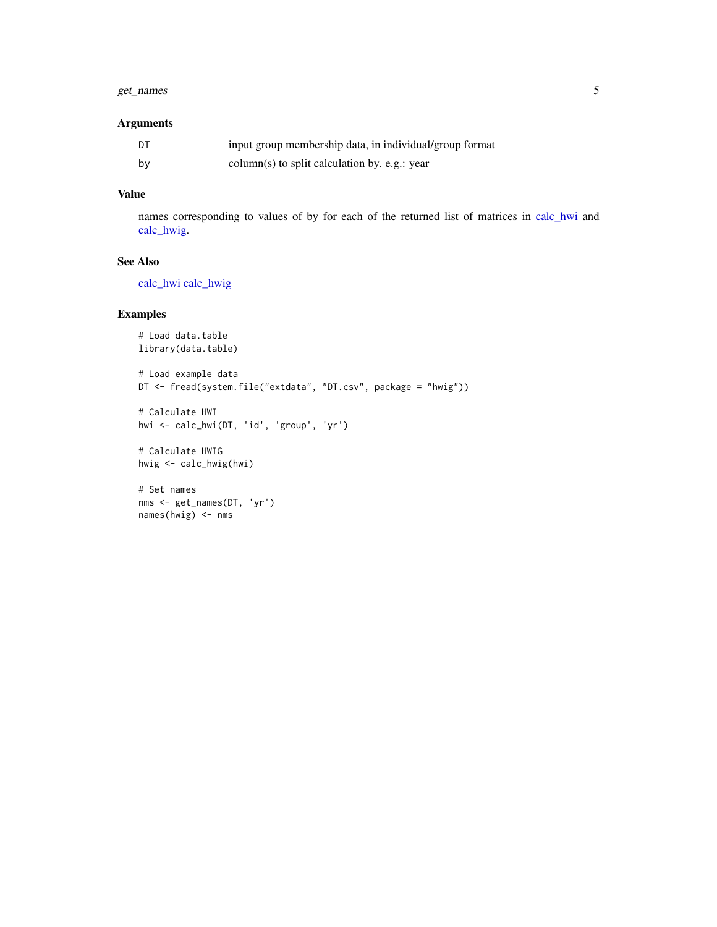#### <span id="page-4-0"></span>get\_names 5

#### Arguments

| DT | input group membership data, in individual/group format |
|----|---------------------------------------------------------|
| bv | column(s) to split calculation by. e.g.: year           |

#### Value

names corresponding to values of by for each of the returned list of matrices in [calc\\_hwi](#page-1-1) and [calc\\_hwig.](#page-2-1)

#### See Also

[calc\\_hwi](#page-1-1) [calc\\_hwig](#page-2-1)

#### Examples

```
# Load data.table
library(data.table)
# Load example data
DT <- fread(system.file("extdata", "DT.csv", package = "hwig"))
# Calculate HWI
hwi <- calc_hwi(DT, 'id', 'group', 'yr')
# Calculate HWIG
hwig <- calc_hwig(hwi)
```

```
# Set names
nms <- get_names(DT, 'yr')
names(hwig) <- nms
```